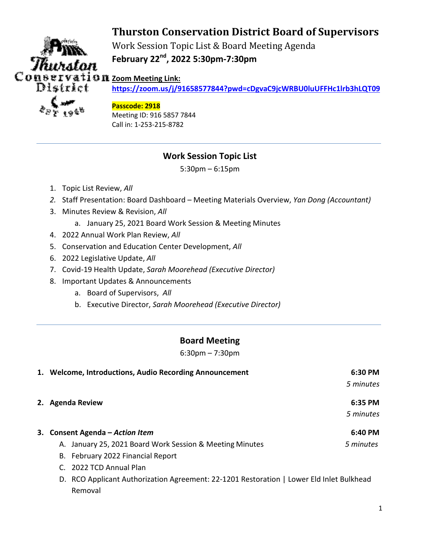# **Thurston Conservation District Board of Supervisors**



Work Session Topic List & Board Meeting Agenda **February 22nd, 2022 5:30pm-7:30pm** 

*Q* II Zoom Meeting Link:

**https://zoom.us/j/91658577844?pwd=cDgvaC9jcWRBU0luUFFHc1lrb3hLQT09**

### **Passcode: 2918**

Meeting ID: 916 5857 7844 Call in: 1-253-215-8782

# **Work Session Topic List**

5:30pm – 6:15pm

- 1. Topic List Review, *All*
- *2.* Staff Presentation: Board Dashboard Meeting Materials Overview, *Yan Dong (Accountant)*
- 3. Minutes Review & Revision, *All*
	- a. January 25, 2021 Board Work Session & Meeting Minutes
- 4. 2022 Annual Work Plan Review, *All*
- 5. Conservation and Education Center Development, *All*
- 6. 2022 Legislative Update, *All*
- 7. Covid-19 Health Update, *Sarah Moorehead (Executive Director)*
- 8. Important Updates & Announcements
	- a. Board of Supervisors, *All*
	- b. Executive Director, *Sarah Moorehead (Executive Director)*

# **Board Meeting**

6:30pm – 7:30pm

| 1. Welcome, Introductions, Audio Recording Announcement                                  | 6:30 PM   |  |
|------------------------------------------------------------------------------------------|-----------|--|
|                                                                                          | 5 minutes |  |
| 2. Agenda Review                                                                         | 6:35 PM   |  |
|                                                                                          | 5 minutes |  |
| 3. Consent Agenda - Action Item                                                          | 6:40 PM   |  |
| A. January 25, 2021 Board Work Session & Meeting Minutes                                 | 5 minutes |  |
| B. February 2022 Financial Report                                                        |           |  |
| C. 2022 TCD Annual Plan                                                                  |           |  |
| D. RCO Applicant Authorization Agreement: 22-1201 Restoration   Lower Eld Inlet Bulkhead |           |  |
| Removal                                                                                  |           |  |